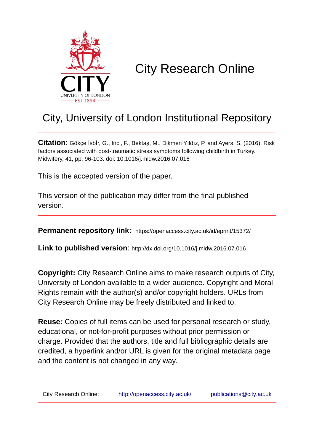

# City Research Online

## City, University of London Institutional Repository

**Citation**: Gökçe İsbİr, G., Inci, F., Bektaş, M., Dikmen Yıldız, P. and Ayers, S. (2016). Risk factors associated with post-traumatic stress symptoms following childbirth in Turkey. Midwifery, 41, pp. 96-103. doi: 10.1016/j.midw.2016.07.016

This is the accepted version of the paper.

This version of the publication may differ from the final published version.

**Permanent repository link:** https://openaccess.city.ac.uk/id/eprint/15372/

**Link to published version**: http://dx.doi.org/10.1016/j.midw.2016.07.016

**Copyright:** City Research Online aims to make research outputs of City, University of London available to a wider audience. Copyright and Moral Rights remain with the author(s) and/or copyright holders. URLs from City Research Online may be freely distributed and linked to.

**Reuse:** Copies of full items can be used for personal research or study, educational, or not-for-profit purposes without prior permission or charge. Provided that the authors, title and full bibliographic details are credited, a hyperlink and/or URL is given for the original metadata page and the content is not changed in any way.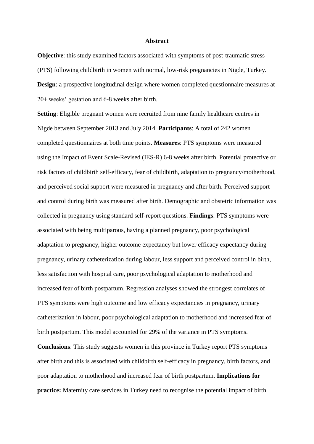#### **Abstract**

**Objective**: this study examined factors associated with symptoms of post-traumatic stress (PTS) following childbirth in women with normal, low-risk pregnancies in Nigde, Turkey. **Design**: a prospective longitudinal design where women completed questionnaire measures at 20+ weeks' gestation and 6-8 weeks after birth.

**Setting**: Eligible pregnant women were recruited from nine family healthcare centres in Nigde between September 2013 and July 2014. **Participants**: A total of 242 women completed questionnaires at both time points. **Measures**: PTS symptoms were measured using the Impact of Event Scale-Revised (IES-R) 6-8 weeks after birth. Potential protective or risk factors of childbirth self-efficacy, fear of childbirth, adaptation to pregnancy/motherhood, and perceived social support were measured in pregnancy and after birth. Perceived support and control during birth was measured after birth. Demographic and obstetric information was collected in pregnancy using standard self-report questions. **Findings**: PTS symptoms were associated with being multiparous, having a planned pregnancy, poor psychological adaptation to pregnancy, higher outcome expectancy but lower efficacy expectancy during pregnancy, urinary catheterization during labour, less support and perceived control in birth, less satisfaction with hospital care, poor psychological adaptation to motherhood and increased fear of birth postpartum. Regression analyses showed the strongest correlates of PTS symptoms were high outcome and low efficacy expectancies in pregnancy, urinary catheterization in labour, poor psychological adaptation to motherhood and increased fear of birth postpartum. This model accounted for 29% of the variance in PTS symptoms. **Conclusions**: This study suggests women in this province in Turkey report PTS symptoms after birth and this is associated with childbirth self-efficacy in pregnancy, birth factors, and poor adaptation to motherhood and increased fear of birth postpartum. **Implications for practice:** Maternity care services in Turkey need to recognise the potential impact of birth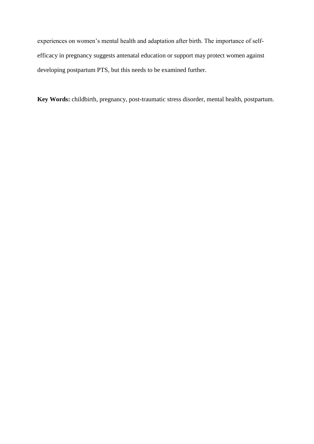experiences on women's mental health and adaptation after birth. The importance of selfefficacy in pregnancy suggests antenatal education or support may protect women against developing postpartum PTS, but this needs to be examined further.

**Key Words:** childbirth, pregnancy, post-traumatic stress disorder, mental health, postpartum.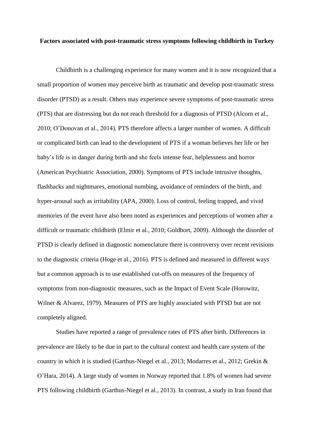#### **Factors associated with post-traumatic stress symptoms following childbirth in Turkey**

Childbirth is a challenging experience for many women and it is now recognized that a small proportion of women may perceive birth as traumatic and develop post-traumatic stress disorder (PTSD) as a result. Others may experience severe symptoms of post-traumatic stress (PTS) that are distressing but do not reach threshold for a diagnosis of PTSD (Alcorn et al., 2010; O'Donovan et al., 2014). PTS therefore affects a larger number of women. A difficult or complicated birth can lead to the development of PTS if a woman believes her life or her baby's life is in danger during birth and she feels intense fear, helplessness and horror (American Psychiatric Association, 2000). Symptoms of PTS include intrusive thoughts, flashbacks and nightmares, emotional numbing, avoidance of reminders of the birth, and hyper-arousal such as irritability (APA, 2000). Loss of control, feeling trapped, and vivid memories of the event have also been noted as experiences and perceptions of women after a difficult or traumatic childbirth (Elmir et al., 2010; Goldbort, 2009). Although the disorder of PTSD is clearly defined in diagnostic nomenclature there is controversy over recent revisions to the diagnostic criteria (Hoge et al., 2016). PTS is defined and measured in different ways but a common approach is to use established cut-offs on measures of the frequency of symptoms from non-diagnostic measures, such as the Impact of Event Scale (Horowitz, Wilner & Alvarez, 1979). Measures of PTS are highly associated with PTSD but are not completely aligned.

Studies have reported a range of prevalence rates of PTS after birth. Differences in prevalence are likely to be due in part to the cultural context and health care system of the country in which it is studied (Garthus-Niegel et al., 2013; Modarres et al., 2012; Grekin & O'Hara, 2014). A large study of women in Norway reported that 1.8% of women had severe PTS following childbirth (Garthus-Niegel et al., 2013). In contrast, a study in Iran found that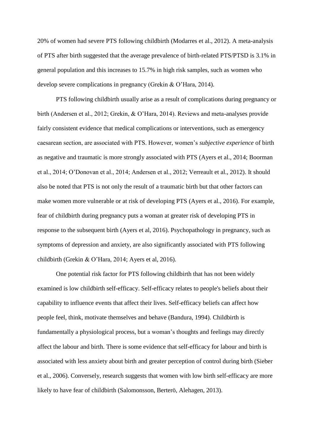20% of women had severe PTS following childbirth (Modarres et al., 2012). A meta-analysis of PTS after birth suggested that the average prevalence of birth-related PTS/PTSD is 3.1% in general population and this increases to 15.7% in high risk samples, such as women who develop severe complications in pregnancy (Grekin & O'Hara, 2014).

PTS following childbirth usually arise as a result of complications during pregnancy or birth (Andersen et al., 2012; Grekin, & O'Hara, 2014). Reviews and meta-analyses provide fairly consistent evidence that medical complications or interventions, such as emergency caesarean section, are associated with PTS. However, women's *subjective experience* of birth as negative and traumatic is more strongly associated with PTS (Ayers et al., 2014; Boorman et al., 2014; O'Donovan et al., 2014; Andersen et al., 2012; Verreault et al., 2012). It should also be noted that PTS is not only the result of a traumatic birth but that other factors can make women more vulnerable or at risk of developing PTS (Ayers et al., 2016). For example, fear of childbirth during pregnancy puts a woman at greater risk of developing PTS in response to the subsequent birth (Ayers et al, 2016). Psychopathology in pregnancy, such as symptoms of depression and anxiety, are also significantly associated with PTS following childbirth (Grekin & O'Hara, 2014; Ayers et al, 2016).

One potential risk factor for PTS following childbirth that has not been widely examined is low childbirth self-efficacy. Self-efficacy relates to people's beliefs about their capability to influence events that affect their lives. Self-efficacy beliefs can affect how people feel, think, motivate themselves and behave (Bandura, 1994). Childbirth is fundamentally a physiological process, but a woman's thoughts and feelings may directly affect the labour and birth. There is some evidence that self-efficacy for labour and birth is associated with less anxiety about birth and greater perception of control during birth (Sieber et al., 2006). Conversely, research suggests that women with low birth self-efficacy are more likely to have fear of childbirth (Salomonsson, Berterö, Alehagen, 2013).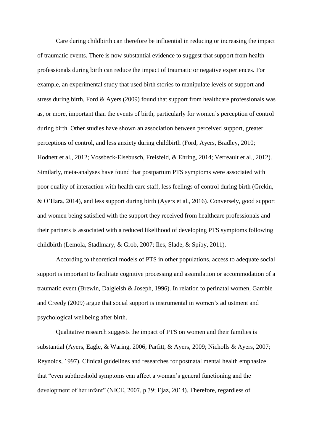Care during childbirth can therefore be influential in reducing or increasing the impact of traumatic events. There is now substantial evidence to suggest that support from health professionals during birth can reduce the impact of traumatic or negative experiences. For example, an experimental study that used birth stories to manipulate levels of support and stress during birth, Ford & Ayers (2009) found that support from healthcare professionals was as, or more, important than the events of birth, particularly for women's perception of control during birth. Other studies have shown an association between perceived support, greater perceptions of control, and less anxiety during childbirth (Ford, Ayers, Bradley, 2010; Hodnett et al., 2012; Vossbeck-Elsebusch, Freisfeld, & Ehring, 2014; Verreault et al., 2012). Similarly, meta-analyses have found that postpartum PTS symptoms were associated with poor quality of interaction with health care staff, less feelings of control during birth (Grekin, & O'Hara, 2014), and less support during birth (Ayers et al., 2016). Conversely, good support and women being satisfied with the support they received from healthcare professionals and their partners is associated with a reduced likelihood of developing PTS symptoms following childbirth (Lemola, Stadlmary, & Grob, 2007; Iles, Slade, & Spiby, 2011).

According to theoretical models of PTS in other populations, access to adequate social support is important to facilitate cognitive processing and assimilation or accommodation of a traumatic event (Brewin, Dalgleish & Joseph, 1996). In relation to perinatal women, Gamble and Creedy (2009) argue that social support is instrumental in women's adjustment and psychological wellbeing after birth.

Qualitative research suggests the impact of PTS on women and their families is substantial (Ayers, Eagle, & Waring, 2006; Parfitt, & Ayers, 2009; Nicholls & Ayers, 2007; Reynolds, 1997). Clinical guidelines and researches for postnatal mental health emphasize that "even subthreshold symptoms can affect a woman's general functioning and the development of her infant" (NICE, 2007, p.39; Ejaz, 2014). Therefore, regardless of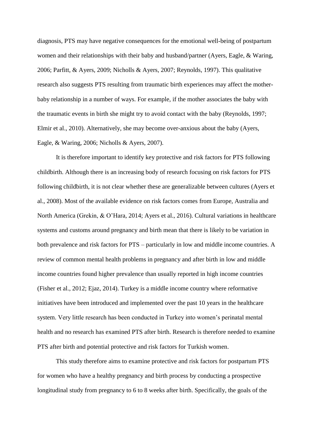diagnosis, PTS may have negative consequences for the emotional well-being of postpartum women and their relationships with their baby and husband/partner (Ayers, Eagle, & Waring, 2006; Parfitt, & Ayers, 2009; Nicholls & Ayers, 2007; Reynolds, 1997). This qualitative research also suggests PTS resulting from traumatic birth experiences may affect the motherbaby relationship in a number of ways. For example, if the mother associates the baby with the traumatic events in birth she might try to avoid contact with the baby (Reynolds, 1997; Elmir et al., 2010). Alternatively, she may become over-anxious about the baby (Ayers, Eagle, & Waring, 2006; Nicholls & Ayers, 2007).

It is therefore important to identify key protective and risk factors for PTS following childbirth. Although there is an increasing body of research focusing on risk factors for PTS following childbirth, it is not clear whether these are generalizable between cultures (Ayers et al., 2008). Most of the available evidence on risk factors comes from Europe, Australia and North America (Grekin, & O'Hara, 2014; Ayers et al., 2016). Cultural variations in healthcare systems and customs around pregnancy and birth mean that there is likely to be variation in both prevalence and risk factors for PTS – particularly in low and middle income countries. A review of common mental health problems in pregnancy and after birth in low and middle income countries found higher prevalence than usually reported in high income countries (Fisher et al., 2012; Ejaz, 2014). Turkey is a middle income country where reformative initiatives have been introduced and implemented over the past 10 years in the healthcare system. Very little research has been conducted in Turkey into women's perinatal mental health and no research has examined PTS after birth. Research is therefore needed to examine PTS after birth and potential protective and risk factors for Turkish women.

This study therefore aims to examine protective and risk factors for postpartum PTS for women who have a healthy pregnancy and birth process by conducting a prospective longitudinal study from pregnancy to 6 to 8 weeks after birth. Specifically, the goals of the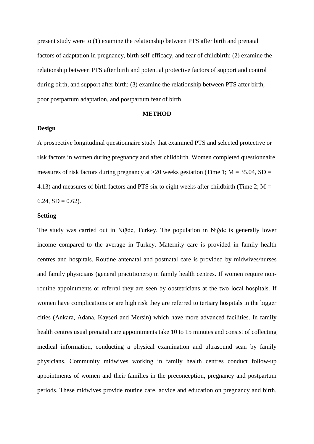present study were to (1) examine the relationship between PTS after birth and prenatal factors of adaptation in pregnancy, birth self-efficacy, and fear of childbirth; (2) examine the relationship between PTS after birth and potential protective factors of support and control during birth, and support after birth; (3) examine the relationship between PTS after birth, poor postpartum adaptation, and postpartum fear of birth.

#### **METHOD**

#### **Design**

A prospective longitudinal questionnaire study that examined PTS and selected protective or risk factors in women during pregnancy and after childbirth. Women completed questionnaire measures of risk factors during pregnancy at  $>$ 20 weeks gestation (Time 1; M = 35.04, SD = 4.13) and measures of birth factors and PTS six to eight weeks after childbirth (Time 2;  $M =$ 6.24,  $SD = 0.62$ ).

#### **Setting**

The study was carried out in Niğde, Turkey. The population in Niğde is generally lower income compared to the average in Turkey. Maternity care is provided in family health centres and hospitals. Routine antenatal and postnatal care is provided by midwives/nurses and family physicians (general practitioners) in family health centres. If women require nonroutine appointments or referral they are seen by obstetricians at the two local hospitals. If women have complications or are high risk they are referred to tertiary hospitals in the bigger cities (Ankara, Adana, Kayseri and Mersin) which have more advanced facilities. In family health centres usual prenatal care appointments take 10 to 15 minutes and consist of collecting medical information, conducting a physical examination and ultrasound scan by family physicians. Community midwives working in family health centres conduct follow-up appointments of women and their families in the preconception, pregnancy and postpartum periods. These midwives provide routine care, advice and education on pregnancy and birth.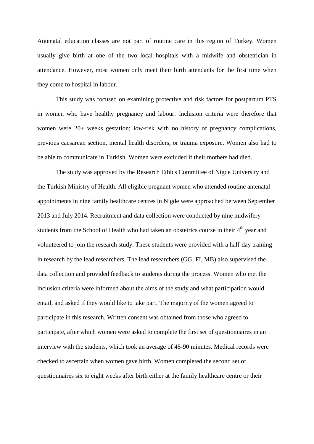Antenatal education classes are not part of routine care in this region of Turkey. Women usually give birth at one of the two local hospitals with a midwife and obstetrician in attendance. However, most women only meet their birth attendants for the first time when they come to hospital in labour.

This study was focused on examining protective and risk factors for postpartum PTS in women who have healthy pregnancy and labour. Inclusion criteria were therefore that women were 20+ weeks gestation; low-risk with no history of pregnancy complications, previous caesarean section, mental health disorders, or trauma exposure. Women also had to be able to communicate in Turkish. Women were excluded if their mothers had died.

The study was approved by the Research Ethics Committee of Nigde University and the Turkish Ministry of Health. All eligible pregnant women who attended routine antenatal appointments in nine family healthcare centres in Nigde were approached between September 2013 and July 2014. Recruitment and data collection were conducted by nine midwifery students from the School of Health who had taken an obstetrics course in their 4<sup>th</sup> year and volunteered to join the research study. These students were provided with a half-day training in research by the lead researchers. The lead researchers (GG, FI, MB) also supervised the data collection and provided feedback to students during the process. Women who met the inclusion criteria were informed about the aims of the study and what participation would entail, and asked if they would like to take part. The majority of the women agreed to participate in this research. Written consent was obtained from those who agreed to participate, after which women were asked to complete the first set of questionnaires in an interview with the students, which took an average of 45-90 minutes. Medical records were checked to ascertain when women gave birth. Women completed the second set of questionnaires six to eight weeks after birth either at the family healthcare centre or their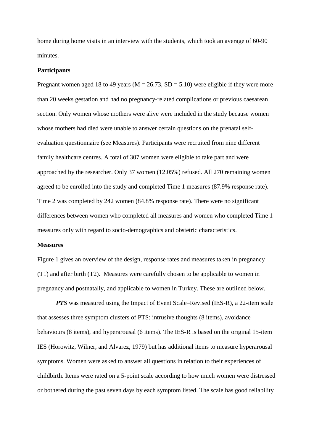home during home visits in an interview with the students, which took an average of 60-90 minutes.

#### **Participants**

Pregnant women aged 18 to 49 years ( $M = 26.73$ ,  $SD = 5.10$ ) were eligible if they were more than 20 weeks gestation and had no pregnancy-related complications or previous caesarean section. Only women whose mothers were alive were included in the study because women whose mothers had died were unable to answer certain questions on the prenatal selfevaluation questionnaire (see Measures). Participants were recruited from nine different family healthcare centres. A total of 307 women were eligible to take part and were approached by the researcher. Only 37 women (12.05%) refused. All 270 remaining women agreed to be enrolled into the study and completed Time 1 measures (87.9% response rate). Time 2 was completed by 242 women (84.8% response rate). There were no significant differences between women who completed all measures and women who completed Time 1 measures only with regard to socio-demographics and obstetric characteristics.

#### **Measures**

Figure 1 gives an overview of the design, response rates and measures taken in pregnancy (T1) and after birth (T2). Measures were carefully chosen to be applicable to women in pregnancy and postnatally, and applicable to women in Turkey. These are outlined below.

*PTS* was measured using the Impact of Event Scale–Revised (IES-R), a 22-item scale that assesses three symptom clusters of PTS: intrusive thoughts (8 items), avoidance behaviours (8 items), and hyperarousal (6 items). The IES-R is based on the original 15-item IES (Horowitz, Wilner, and Alvarez, 1979) but has additional items to measure hyperarousal symptoms. Women were asked to answer all questions in relation to their experiences of childbirth. Items were rated on a 5-point scale according to how much women were distressed or bothered during the past seven days by each symptom listed. The scale has good reliability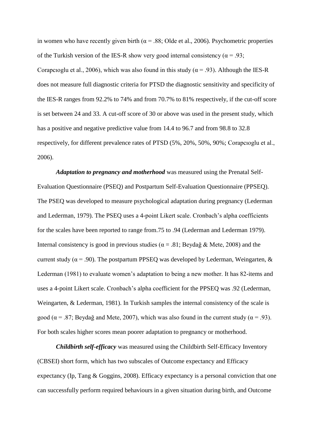in women who have recently given birth ( $\alpha$  = .88; Olde et al., 2006). Psychometric properties of the Turkish version of the IES-R show very good internal consistency ( $\alpha$  = .93; Corapcioglu et al., 2006), which was also found in this study ( $\alpha$  = .93). Although the IES-R does not measure full diagnostic criteria for PTSD the diagnostic sensitivity and specificity of the IES-R ranges from 92.2% to 74% and from 70.7% to 81% respectively, if the cut-off score is set between 24 and 33. A cut-off score of 30 or above was used in the present study, which has a positive and negative predictive value from 14.4 to 96.7 and from 98.8 to 32.8 respectively, for different prevalence rates of PTSD (5%, 20%, 50%, 90%; Corapcıoglu et al., 2006).

*Adaptation to pregnancy and motherhood* was measured using the Prenatal Self-Evaluation Questionnaire (PSEQ) and Postpartum Self-Evaluation Questionnaire (PPSEQ). The PSEQ was developed to measure psychological adaptation during pregnancy (Lederman and Lederman, 1979). The PSEQ uses a 4-point Likert scale. Cronbach's alpha coefficients for the scales have been reported to range from.75 to .94 (Lederman and Lederman 1979). Internal consistency is good in previous studies ( $\alpha = .81$ ; Beydağ & Mete, 2008) and the current study ( $\alpha$  = .90). The postpartum PPSEQ was developed by Lederman, Weingarten, & Lederman (1981) to evaluate women's adaptation to being a new mother. It has 82-items and uses a 4-point Likert scale. Cronbach's alpha coefficient for the PPSEQ was .92 (Lederman, Weingarten, & Lederman, 1981). In Turkish samples the internal consistency of the scale is good ( $\alpha$  = .87; Beydağ and Mete, 2007), which was also found in the current study ( $\alpha$  = .93). For both scales higher scores mean poorer adaptation to pregnancy or motherhood.

*Childbirth self-efficacy* was measured using the Childbirth Self-Efficacy Inventory (CBSEI) short form, which has two subscales of Outcome expectancy and Efficacy expectancy (Ip, Tang & Goggins, 2008). Efficacy expectancy is a personal conviction that one can successfully perform required behaviours in a given situation during birth, and Outcome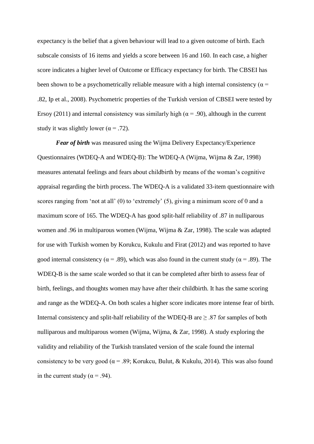expectancy is the belief that a given behaviour will lead to a given outcome of birth. Each subscale consists of 16 items and yields a score between 16 and 160. In each case, a higher score indicates a higher level of Outcome or Efficacy expectancy for birth. The CBSEI has been shown to be a psychometrically reliable measure with a high internal consistency ( $\alpha$  = .82, Ip et al., 2008). Psychometric properties of the Turkish version of CBSEI were tested by Ersoy (2011) and internal consistency was similarly high ( $\alpha$  = .90), although in the current study it was slightly lower ( $\alpha$  = .72).

*Fear of birth* was measured using the Wijma Delivery Expectancy/Experience Questionnaires (WDEQ-A and WDEQ-B): The WDEQ-A (Wijma, Wijma & Zar, 1998) measures antenatal feelings and fears about childbirth by means of the woman's cognitive appraisal regarding the birth process. The WDEQ-A is a validated 33-item questionnaire with scores ranging from 'not at all' (0) to 'extremely' (5), giving a minimum score of 0 and a maximum score of 165. The WDEQ-A has good split-half reliability of .87 in nulliparous women and .96 in multiparous women (Wijma, Wijma & Zar, 1998). The scale was adapted for use with Turkish women by Korukcu, Kukulu and Firat (2012) and was reported to have good internal consistency ( $\alpha$  = .89), which was also found in the current study ( $\alpha$  = .89). The WDEQ-B is the same scale worded so that it can be completed after birth to assess fear of birth, feelings, and thoughts women may have after their childbirth. It has the same scoring and range as the WDEQ-A. On both scales a higher score indicates more intense fear of birth. Internal consistency and split-half reliability of the WDEQ-B are  $\geq$  .87 for samples of both nulliparous and multiparous women (Wijma, Wijma, & Zar, 1998). A study exploring the validity and reliability of the Turkish translated version of the scale found the internal consistency to be very good ( $\alpha$  = .89; Korukcu, Bulut, & Kukulu, 2014). This was also found in the current study ( $\alpha$  = .94).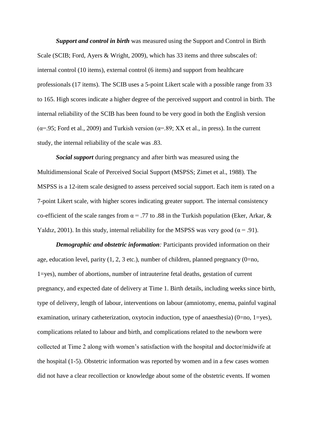*Support and control in birth* was measured using the Support and Control in Birth Scale (SCIB; Ford, Ayers & Wright, 2009), which has 33 items and three subscales of: internal control (10 items), external control (6 items) and support from healthcare professionals (17 items). The SCIB uses a 5-point Likert scale with a possible range from 33 to 165. High scores indicate a higher degree of the perceived support and control in birth. The internal reliability of the SCIB has been found to be very good in both the English version ( $\alpha$ =.95; Ford et al., 2009) and Turkish version ( $\alpha$ =.89; XX et al., in press). In the current study, the internal reliability of the scale was .83.

*Social support* during pregnancy and after birth was measured using the Multidimensional Scale of Perceived Social Support (MSPSS; Zimet et al., 1988). The MSPSS is a 12-item scale designed to assess perceived social support. Each item is rated on a 7-point Likert scale, with higher scores indicating greater support. The internal consistency co-efficient of the scale ranges from  $\alpha$  = .77 to .88 in the Turkish population (Eker, Arkar, & Yaldız, 2001). In this study, internal reliability for the MSPSS was very good ( $\alpha$  = .91).

*Demographic and obstetric information:* Participants provided information on their age, education level, parity  $(1, 2, 3 \text{ etc.})$ , number of children, planned pregnancy  $(0=no, 1)$ 1=yes), number of abortions, number of intrauterine fetal deaths, gestation of current pregnancy, and expected date of delivery at Time 1. Birth details, including weeks since birth, type of delivery, length of labour, interventions on labour (amniotomy, enema, painful vaginal examination, urinary catheterization, oxytocin induction, type of anaesthesia) (0=no, 1=yes), complications related to labour and birth, and complications related to the newborn were collected at Time 2 along with women's satisfaction with the hospital and doctor/midwife at the hospital (1-5). Obstetric information was reported by women and in a few cases women did not have a clear recollection or knowledge about some of the obstetric events. If women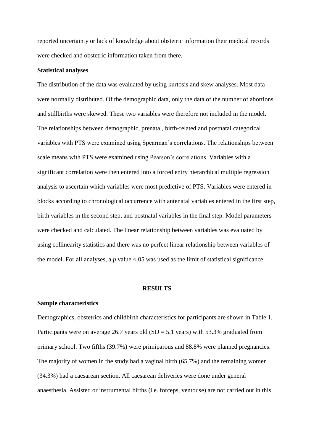reported uncertainty or lack of knowledge about obstetric information their medical records were checked and obstetric information taken from there.

#### **Statistical analyses**

The distribution of the data was evaluated by using kurtosis and skew analyses. Most data were normally distributed. Of the demographic data, only the data of the number of abortions and stillbirths were skewed. These two variables were therefore not included in the model. The relationships between demographic, prenatal, birth-related and postnatal categorical variables with PTS were examined using Spearman's correlations. The relationships between scale means with PTS were examined using Pearson's correlations. Variables with a significant correlation were then entered into a forced entry hierarchical multiple regression analysis to ascertain which variables were most predictive of PTS. Variables were entered in blocks according to chronological occurrence with antenatal variables entered in the first step, birth variables in the second step, and postnatal variables in the final step. Model parameters were checked and calculated. The linear relationship between variables was evaluated by using collinearity statistics and there was no perfect linear relationship between variables of the model. For all analyses, a  $p$  value  $\lt 0.05$  was used as the limit of statistical significance.

#### **RESULTS**

#### **Sample characteristics**

Demographics, obstetrics and childbirth characteristics for participants are shown in Table 1. Participants were on average 26.7 years old  $(SD = 5.1$  years) with 53.3% graduated from primary school. Two fifths (39.7%) were primiparous and 88.8% were planned pregnancies. The majority of women in the study had a vaginal birth (65.7%) and the remaining women (34.3%) had a caesarean section. All caesarean deliveries were done under general anaesthesia. Assisted or instrumental births (i.e. forceps, ventouse) are not carried out in this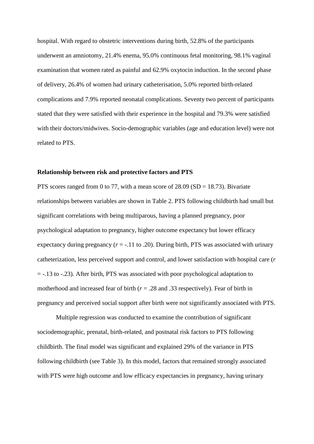hospital. With regard to obstetric interventions during birth, 52.8% of the participants underwent an amniotomy, 21.4% enema, 95.0% continuous fetal monitoring, 98.1% vaginal examination that women rated as painful and 62.9% oxytocin induction. In the second phase of delivery, 26.4% of women had urinary catheterisation, 5.0% reported birth-related complications and 7.9% reported neonatal complications. Seventy two percent of participants stated that they were satisfied with their experience in the hospital and 79.3% were satisfied with their doctors/midwives. Socio-demographic variables (age and education level) were not related to PTS.

#### **Relationship between risk and protective factors and PTS**

PTS scores ranged from 0 to 77, with a mean score of  $28.09$  (SD = 18.73). Bivariate relationships between variables are shown in Table 2. PTS following childbirth had small but significant correlations with being multiparous, having a planned pregnancy, poor psychological adaptation to pregnancy, higher outcome expectancy but lower efficacy expectancy during pregnancy  $(r = -.11 \text{ to } .20)$ . During birth, PTS was associated with urinary catheterization, less perceived support and control, and lower satisfaction with hospital care (*r*  = -.13 to -.23). After birth, PTS was associated with poor psychological adaptation to motherhood and increased fear of birth  $(r = .28$  and .33 respectively). Fear of birth in pregnancy and perceived social support after birth were not significantly associated with PTS.

Multiple regression was conducted to examine the contribution of significant sociodemographic, prenatal, birth-related, and postnatal risk factors to PTS following childbirth. The final model was significant and explained 29% of the variance in PTS following childbirth (see Table 3). In this model, factors that remained strongly associated with PTS were high outcome and low efficacy expectancies in pregnancy, having urinary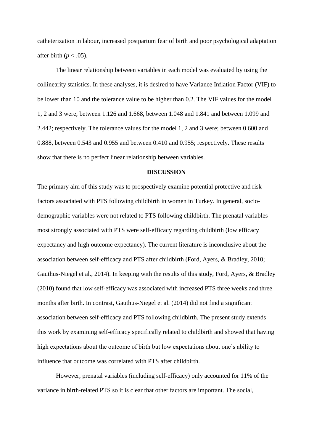catheterization in labour, increased postpartum fear of birth and poor psychological adaptation after birth ( $p < .05$ ).

The linear relationship between variables in each model was evaluated by using the collinearity statistics. In these analyses, it is desired to have Variance Inflation Factor (VIF) to be lower than 10 and the tolerance value to be higher than 0.2. The VIF values for the model 1, 2 and 3 were; between 1.126 and 1.668, between 1.048 and 1.841 and between 1.099 and 2.442; respectively. The tolerance values for the model 1, 2 and 3 were; between 0.600 and 0.888, between 0.543 and 0.955 and between 0.410 and 0.955; respectively. These results show that there is no perfect linear relationship between variables.

#### **DISCUSSION**

The primary aim of this study was to prospectively examine potential protective and risk factors associated with PTS following childbirth in women in Turkey. In general, sociodemographic variables were not related to PTS following childbirth. The prenatal variables most strongly associated with PTS were self-efficacy regarding childbirth (low efficacy expectancy and high outcome expectancy). The current literature is inconclusive about the association between self-efficacy and PTS after childbirth (Ford, Ayers, & Bradley, 2010; Gauthus-Niegel et al., 2014). In keeping with the results of this study, Ford, Ayers, & Bradley (2010) found that low self-efficacy was associated with increased PTS three weeks and three months after birth. In contrast, Gauthus-Niegel et al. (2014) did not find a significant association between self-efficacy and PTS following childbirth. The present study extends this work by examining self-efficacy specifically related to childbirth and showed that having high expectations about the outcome of birth but low expectations about one's ability to influence that outcome was correlated with PTS after childbirth.

However, prenatal variables (including self-efficacy) only accounted for 11% of the variance in birth-related PTS so it is clear that other factors are important. The social,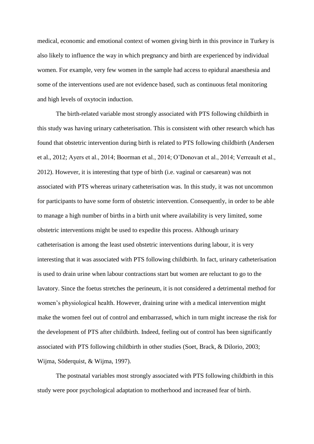medical, economic and emotional context of women giving birth in this province in Turkey is also likely to influence the way in which pregnancy and birth are experienced by individual women. For example, very few women in the sample had access to epidural anaesthesia and some of the interventions used are not evidence based, such as continuous fetal monitoring and high levels of oxytocin induction.

The birth-related variable most strongly associated with PTS following childbirth in this study was having urinary catheterisation. This is consistent with other research which has found that obstetric intervention during birth is related to PTS following childbirth (Andersen et al., 2012; Ayers et al., 2014; Boorman et al., 2014; O'Donovan et al., 2014; Verreault et al., 2012). However, it is interesting that type of birth (i.e. vaginal or caesarean) was not associated with PTS whereas urinary catheterisation was. In this study, it was not uncommon for participants to have some form of obstetric intervention. Consequently, in order to be able to manage a high number of births in a birth unit where availability is very limited, some obstetric interventions might be used to expedite this process. Although urinary catheterisation is among the least used obstetric interventions during labour, it is very interesting that it was associated with PTS following childbirth. In fact, urinary catheterisation is used to drain urine when labour contractions start but women are reluctant to go to the lavatory. Since the foetus stretches the perineum, it is not considered a detrimental method for women's physiological health. However, draining urine with a medical intervention might make the women feel out of control and embarrassed, which in turn might increase the risk for the development of PTS after childbirth. Indeed, feeling out of control has been significantly associated with PTS following childbirth in other studies (Soet, Brack, & Dilorio, 2003; [Wijma,](http://www.ncbi.nlm.nih.gov/pubmed?term=Wijma%20K%5BAuthor%5D&cauthor=true&cauthor_uid=9455721) [Söderquist,](http://www.ncbi.nlm.nih.gov/pubmed?term=S%C3%B6derquist%20J%5BAuthor%5D&cauthor=true&cauthor_uid=9455721) & [Wijma,](http://www.ncbi.nlm.nih.gov/pubmed?term=Wijma%20B%5BAuthor%5D&cauthor=true&cauthor_uid=9455721) 1997).

The postnatal variables most strongly associated with PTS following childbirth in this study were poor psychological adaptation to motherhood and increased fear of birth.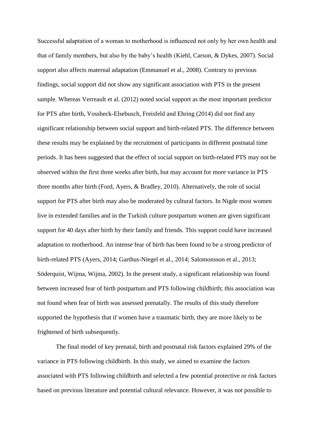Successful adaptation of a woman to motherhood is influenced not only by her own health and that of family members, but also by the baby's health [\(Kiehl,](http://www.ncbi.nlm.nih.gov/pubmed?term=Kiehl%20EM%5BAuthor%5D&cauthor=true&cauthor_uid=17727545) [Carson, &](http://www.ncbi.nlm.nih.gov/pubmed?term=Kiehl%20EM%5BAuthor%5D&cauthor=true&cauthor_uid=17727545) [Dykes, 2](http://www.ncbi.nlm.nih.gov/pubmed?term=Dykes%20AK%5BAuthor%5D&cauthor=true&cauthor_uid=17727545)007). Social support also affects maternal adaptation (Emmanuel et al., 2008). Contrary to previous findings, social support did not show any significant association with PTS in the present sample. Whereas Verreault et al. (2012) noted social support as the most important predictor for PTS after birth, Vossbeck-Elsebusch, Freisfeld and Ehring (2014) did not find any significant relationship between social support and birth-related PTS. The difference between these results may be explained by the recruitment of participants in different postnatal time periods. It has been suggested that the effect of social support on birth-related PTS may not be observed within the first three weeks after birth, but may account for more variance in PTS three months after birth (Ford, Ayers, & Bradley, 2010). Alternatively, the role of social support for PTS after birth may also be moderated by cultural factors. In Nigde most women live in extended families and in the Turkish culture postpartum women are given significant support for 40 days after birth by their family and friends. This support could have increased adaptation to motherhood. An intense fear of birth has been found to be a strong predictor of birth-related PTS (Ayers, 2014; Garthus-Niegel et al., 2014; Salomonsson et al., 2013; Söderquist, Wijma, Wijma, 2002). In the present study, a significant relationship was found between increased fear of birth postpartum and PTS following childbirth; this association was not found when fear of birth was assessed prenatally. The results of this study therefore supported the hypothesis that if women have a traumatic birth, they are more likely to be frightened of birth subsequently.

The final model of key prenatal, birth and postnatal risk factors explained 29% of the variance in PTS following childbirth. In this study, we aimed to examine the factors associated with PTS following childbirth and selected a few potential protective or risk factors based on previous literature and potential cultural relevance. However, it was not possible to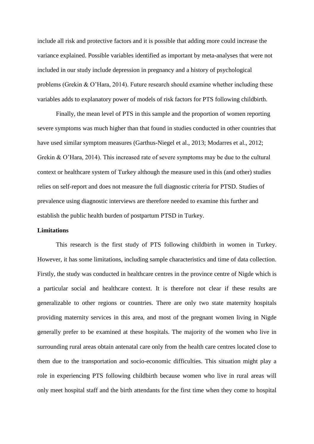include all risk and protective factors and it is possible that adding more could increase the variance explained. Possible variables identified as important by meta-analyses that were not included in our study include depression in pregnancy and a history of psychological problems (Grekin & O'Hara, 2014). Future research should examine whether including these variables adds to explanatory power of models of risk factors for PTS following childbirth.

Finally, the mean level of PTS in this sample and the proportion of women reporting severe symptoms was much higher than that found in studies conducted in other countries that have used similar symptom measures (Garthus-Niegel et al., 2013; Modarres et al., 2012; Grekin & O'Hara, 2014). This increased rate of severe symptoms may be due to the cultural context or healthcare system of Turkey although the measure used in this (and other) studies relies on self-report and does not measure the full diagnostic criteria for PTSD. Studies of prevalence using diagnostic interviews are therefore needed to examine this further and establish the public health burden of postpartum PTSD in Turkey.

#### **Limitations**

This research is the first study of PTS following childbirth in women in Turkey. However, it has some limitations, including sample characteristics and time of data collection. Firstly, the study was conducted in healthcare centres in the province centre of Nigde which is a particular social and healthcare context. It is therefore not clear if these results are generalizable to other regions or countries. There are only two state maternity hospitals providing maternity services in this area, and most of the pregnant women living in Nigde generally prefer to be examined at these hospitals. The majority of the women who live in surrounding rural areas obtain antenatal care only from the health care centres located close to them due to the transportation and socio-economic difficulties. This situation might play a role in experiencing PTS following childbirth because women who live in rural areas will only meet hospital staff and the birth attendants for the first time when they come to hospital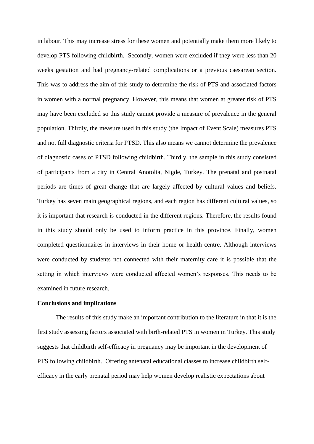in labour. This may increase stress for these women and potentially make them more likely to develop PTS following childbirth. Secondly, women were excluded if they were less than 20 weeks gestation and had pregnancy-related complications or a previous caesarean section. This was to address the aim of this study to determine the risk of PTS and associated factors in women with a normal pregnancy. However, this means that women at greater risk of PTS may have been excluded so this study cannot provide a measure of prevalence in the general population. Thirdly, the measure used in this study (the Impact of Event Scale) measures PTS and not full diagnostic criteria for PTSD. This also means we cannot determine the prevalence of diagnostic cases of PTSD following childbirth. Thirdly, the sample in this study consisted of participants from a city in Central Anotolia, Nigde, Turkey. The prenatal and postnatal periods are times of great change that are largely affected by cultural values and beliefs. Turkey has seven main geographical regions, and each region has different cultural values, so it is important that research is conducted in the different regions. Therefore, the results found in this study should only be used to inform practice in this province. Finally, women completed questionnaires in interviews in their home or health centre. Although interviews were conducted by students not connected with their maternity care it is possible that the setting in which interviews were conducted affected women's responses. This needs to be examined in future research.

#### **Conclusions and implications**

The results of this study make an important contribution to the literature in that it is the first study assessing factors associated with birth-related PTS in women in Turkey. This study suggests that childbirth self-efficacy in pregnancy may be important in the development of PTS following childbirth. Offering antenatal educational classes to increase childbirth selfefficacy in the early prenatal period may help women develop realistic expectations about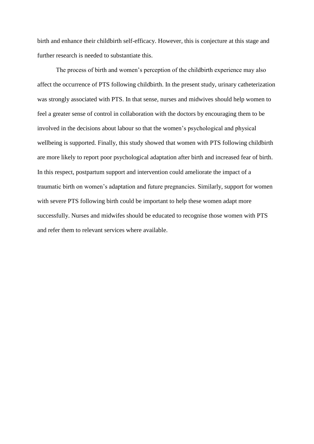birth and enhance their childbirth self-efficacy. However, this is conjecture at this stage and further research is needed to substantiate this.

The process of birth and women's perception of the childbirth experience may also affect the occurrence of PTS following childbirth. In the present study, urinary catheterization was strongly associated with PTS. In that sense, nurses and midwives should help women to feel a greater sense of control in collaboration with the doctors by encouraging them to be involved in the decisions about labour so that the women's psychological and physical wellbeing is supported. Finally, this study showed that women with PTS following childbirth are more likely to report poor psychological adaptation after birth and increased fear of birth. In this respect, postpartum support and intervention could ameliorate the impact of a traumatic birth on women's adaptation and future pregnancies. Similarly, support for women with severe PTS following birth could be important to help these women adapt more successfully. Nurses and midwifes should be educated to recognise those women with PTS and refer them to relevant services where available.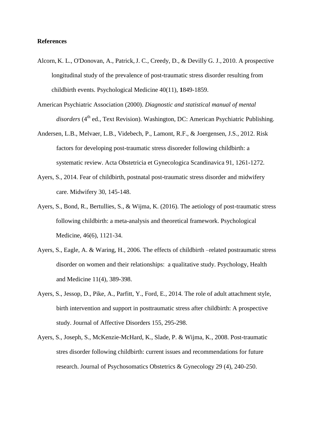#### **References**

- Alcorn, K. L., O'Donovan, A., Patrick,J. C., Creedy, D., & Devilly G. J., 2010. A prospective longitudinal study of the prevalence of post-traumatic stress disorder resulting from childbirth events. Psychological Medicine 40(11), **1**849-1859.
- American Psychiatric Association (2000). *Diagnostic and statistical manual of mental disorders* (4<sup>th</sup> ed., Text Revision). Washington, DC: American Psychiatric Publishing.
- Andersen, L.B., Melvaer, L.B., Videbech, P., Lamont, R.F., & Joergensen, J.S., 2012. Risk factors for developing post-traumatic stress disoreder following childbirth: a systematic review. Acta Obstetricia et Gynecologica Scandinavica 91, 1261-1272.
- Ayers, S., 2014. Fear of childbirth, postnatal post-traumatic stress disorder and midwifery care. Midwifery 30, 145-148.
- Ayers, S., Bond, R., Bertullies, S., & Wijma, K. (2016). The aetiology of post-traumatic stress following childbirth: a meta-analysis and theoretical framework. Psychological Medicine, 46(6), 1121-34.
- Ayers, S., Eagle, A. & Waring, H., 2006. The effects of childbirth –related postraumatic stress disorder on women and their relationships: a qualitative study. Psychology, Health and Medicine 11(4), 389-398.
- Ayers, S., Jessop, D., Pike, A., Parfitt, Y., Ford, E., 2014. The role of adult attachment style, birth intervention and support in posttraumatic stress after childbirth: A prospective study. Journal of Affective Disorders 155, 295-298.
- Ayers, S., Joseph, S., McKenzie-McHard, K., Slade, P. & Wijma, K., 2008. Post-traumatic stres disorder following childbirth: current issues and recommendations for future research. Journal of Psychosomatics Obstetrics & Gynecology 29 (4), 240-250.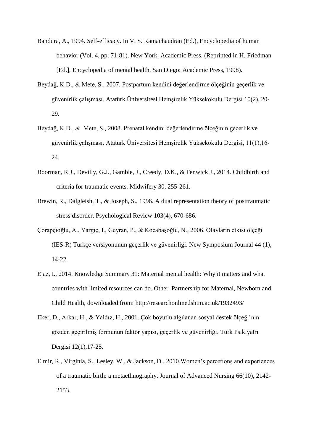- Bandura, A., 1994. Self-efficacy. In V. S. Ramachaudran (Ed.), Encyclopedia of human behavior (Vol. 4, pp. 71-81). New York: Academic Press. (Reprinted in H. Friedman [Ed.], Encyclopedia of mental health. San Diego: Academic Press, 1998).
- Beydağ, K.D., & Mete, S., 2007. Postpartum kendini değerlendirme ölçeğinin geçerlik ve güvenirlik çalışması. Atatürk Üniversitesi Hemşirelik Yüksekokulu Dergisi 10(2), 20- 29.
- Beydağ, K.D., & Mete, S., 2008. Prenatal kendini değerlendirme ölçeğinin geçerlik ve güvenirlik çalışması. Atatürk Üniversitesi Hemşirelik Yüksekokulu Dergisi, 11(1),16- 24.
- Boorman, R.J., Devilly, G.J., Gamble, J., Creedy, D.K., & Fenwick J., 2014. Childbirth and criteria for traumatic events. Midwifery 30, 255-261.
- Brewin, R., Dalgleish, T., & Joseph, S., 1996. A dual representation theory of posttraumatic stress disorder. Psychological Review 103(4), 670-686.
- Çorapçıoğlu, A., Yargıç, I., Geyran, P., & Kocabaşoğlu, N., 2006. Olayların etkisi ölçeği (IES-R) Türkçe versiyonunun geçerlik ve güvenirliği. New Symposium Journal 44 (1), 14-22.
- Ejaz, I., 2014. Knowledge Summary 31: Maternal mental health: Why it matters and what countries with limited resources can do. Other. Partnership for Maternal, Newborn and Child Health, downloaded from: <http://researchonline.lshtm.ac.uk/1932493/>
- Eker, D., Arkar, H., & Yaldız, H., 2001. Çok boyutlu algılanan sosyal destek ölçeği'nin gözden geçirilmiş formunun faktör yapısı, geçerlik ve güvenirliği. Türk Psikiyatri Dergisi 12(1),17-25.
- Elmir, R., Virginia, S., Lesley, W., & Jackson, D., 2010.Women's percetions and experiences of a traumatic birth: a metaethnography. Journal of Advanced Nursing 66(10), 2142- 2153.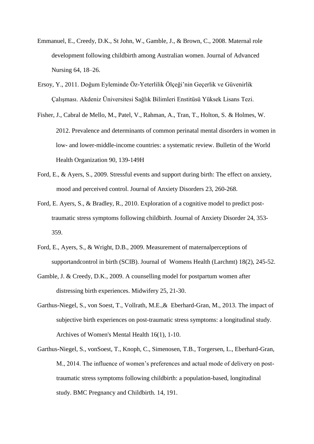- Emmanuel, E., Creedy, D.K., St John, W., Gamble, J., & Brown, C., 2008. Maternal role development following childbirth among Australian women. Journal of Advanced Nursing 64, 18–26.
- Ersoy, Y., 2011. Doğum Eyleminde Öz-Yeterlilik Ölçeği'nin Geçerlik ve Güvenirlik Çalışması. Akdeniz Üniversitesi Sağlık Bilimleri Enstitüsü Yüksek Lisans Tezi.
- Fisher, J., Cabral de Mello, M., Patel, V., Rahman, A., Tran, T., Holton, S. & Holmes, W. 2012. Prevalence and determinants of common perinatal mental disorders in women in low- and lower-middle-income countries: a systematic review. Bulletin of the World Health Organization 90, 139-149H
- Ford, E., & Ayers, S., 2009. Stressful events and support during birth: The effect on anxiety, mood and perceived control. Journal of Anxiety Disorders 23, 260-268.
- Ford, E. Ayers, S., & Bradley, R., 2010. Exploration of a cognitive model to predict posttraumatic stress symptoms following childbirth. Journal of Anxiety Disorder 24, 353- 359.
- [Ford, E.](http://www.ncbi.nlm.nih.gov/pubmed?term=Ford%20E%5BAuthor%5D&cauthor=true&cauthor_uid=19183096), [Ayers, S.](http://www.ncbi.nlm.nih.gov/pubmed?term=Ayers%20S%5BAuthor%5D&cauthor=true&cauthor_uid=19183096), & [Wright, D.B.](http://www.ncbi.nlm.nih.gov/pubmed?term=Wright%20DB%5BAuthor%5D&cauthor=true&cauthor_uid=19183096), 2009. Measurement of maternalperceptions of supportandcontrol in birth (SCIB). Journal of Womens Health (Larchmt) 18(2), 245-52.
- Gamble, J. & Creedy, D.K., 2009. A counselling model for postpartum women after distressing birth experiences. Midwifery 25, 21-30.
- [Garthus-Niegel,](http://www.ncbi.nlm.nih.gov/pubmed?term=Garthus-Niegel%20S%5BAuthor%5D&cauthor=true&cauthor_uid=22940723) S., [von Soest, T.](http://www.ncbi.nlm.nih.gov/pubmed?term=von%20Soest%20T%5BAuthor%5D&cauthor=true&cauthor_uid=22940723), [Vollrath, M.E.](http://www.ncbi.nlm.nih.gov/pubmed?term=Vollrath%20ME%5BAuthor%5D&cauthor=true&cauthor_uid=22940723),& [Eberhard-Gran, M.](http://www.ncbi.nlm.nih.gov/pubmed?term=Eberhard-Gran%20M%5BAuthor%5D&cauthor=true&cauthor_uid=22940723), 2013. The impact of subjective birth experiences on post-traumatic stress symptoms: a longitudinal study. Archives of Women's Mental Health 16(1), 1-10.
- Garthus-Niegel, S., vonSoest, T., Knoph, C., Simenosen, T.B., Torgersen, L., Eberhard-Gran, M., 2014. The influence of women's preferences and actual mode of delivery on posttraumatic stress symptoms following childbirth: a population-based, longitudinal study. BMC Pregnancy and Childbirth. 14, 191.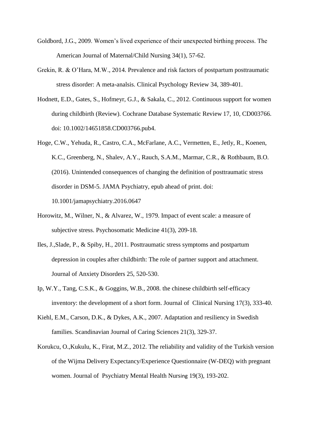- Goldbord, J.G., 2009. Women's lived experience of their unexpected birthing process. The American Journal of Maternal/Child Nursing 34(1), 57-62.
- Grekin, R. & O'Hara, M.W., 2014. Prevalence and risk factors of postpartum posttraumatic stress disorder: A meta-analsis. Clinical Psychology Review 34, 389-401.
- Hodnett, E.D., Gates, S., Hofmeyr, G.J., & Sakala, C., 2012. Continuous support for women during childbirth (Review). [Cochrane Database Systematic](http://www.ncbi.nlm.nih.gov/pubmed/23076901##) Review 17, 10, CD003766. doi: 10.1002/14651858.CD003766.pub4.
- Hoge, C.W., Yehuda, R., Castro, C.A., McFarlane, A.C., Vermetten, E., Jetly, R., Koenen, K.C., Greenberg, N., Shalev, A.Y., Rauch, S.A.M., Marmar, C.R., & Rothbaum, B.O. (2016). Unintended consequences of changing the definition of posttraumatic stress disorder in DSM-5. JAMA Psychiatry, epub ahead of print. doi: 10.1001/jamapsychiatry.2016.0647
- [Horowitz,](http://www.ncbi.nlm.nih.gov/pubmed?term=Horowitz%20M%5BAuthor%5D&cauthor=true&cauthor_uid=472086) M., [Wilner,](http://www.ncbi.nlm.nih.gov/pubmed?term=Wilner%20N%5BAuthor%5D&cauthor=true&cauthor_uid=472086) N., & [Alvarez,](http://www.ncbi.nlm.nih.gov/pubmed?term=Alvarez%20W%5BAuthor%5D&cauthor=true&cauthor_uid=472086) W., 1979. Impact of event scale: a measure of subjective stress. Psychosomatic Medicine 41(3), 209-18.
- Iles, J.,Slade, P., & Spiby, H., 2011. Posttraumatic stress symptoms and postpartum depression in couples after childbirth: The role of partner support and attachment. Journal of Anxiety Disorders 25, 520-530.
- Ip, W.Y., Tang, C.S.K., & Goggins, W.B., 2008. [the chinese childbirth self-efficacy](http://www.ncbi.nlm.nih.gov/pubmed/17850293)  [inventory: the development of a short form.](http://www.ncbi.nlm.nih.gov/pubmed/17850293) Journal of Clinical Nursing 17(3), 333-40.
- [Kiehl,](http://www.ncbi.nlm.nih.gov/pubmed?term=Kiehl%20EM%5BAuthor%5D&cauthor=true&cauthor_uid=17727545) E.M., [Carson, D.K.](http://www.ncbi.nlm.nih.gov/pubmed?term=Carson%20DK%5BAuthor%5D&cauthor=true&cauthor_uid=17727545), & [Dykes, A.K.](http://www.ncbi.nlm.nih.gov/pubmed?term=Dykes%20AK%5BAuthor%5D&cauthor=true&cauthor_uid=17727545), 2007. Adaptation and resiliency in Swedish families. Scandinavian Journal of Caring Sciences 21(3), 329-37.
- [Korukcu, O.](http://www.ncbi.nlm.nih.gov/pubmed?term=Korukcu%20O%5BAuthor%5D&cauthor=true&cauthor_uid=22260727)[,Kukulu, K.](http://www.ncbi.nlm.nih.gov/pubmed?term=Kukulu%20K%5BAuthor%5D&cauthor=true&cauthor_uid=22260727), [Firat, M.Z.](http://www.ncbi.nlm.nih.gov/pubmed?term=Firat%20MZ%5BAuthor%5D&cauthor=true&cauthor_uid=22260727), 2012. The reliability and validity of the Turkish version of the Wijma Delivery Expectancy/Experience Questionnaire (W-DEQ) with pregnant women. [Journal of Psychiatry Mental Health Nurs](http://www.ncbi.nlm.nih.gov/pubmed/22260727##)ing 19(3), 193-202.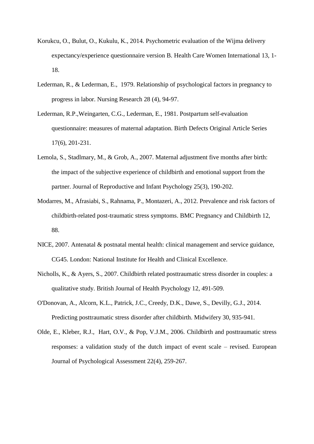- [Korukcu,](http://www.ncbi.nlm.nih.gov/pubmed?term=Korukcu%20O%5BAuthor%5D&cauthor=true&cauthor_uid=25119342) O., [Bulut, O.](http://www.ncbi.nlm.nih.gov/pubmed?term=Bulut%20O%5BAuthor%5D&cauthor=true&cauthor_uid=25119342), [Kukulu, K.](http://www.ncbi.nlm.nih.gov/pubmed?term=Kukulu%20K%5BAuthor%5D&cauthor=true&cauthor_uid=25119342), 2014. Psychometric evaluation of the Wijma delivery expectancy/experience questionnaire version B. [Health Care Women International](http://www.ncbi.nlm.nih.gov/pubmed/25119342) 13, 1- 18.
- Lederman, R., & Lederman, E., 1979. Relationship of psychological factors in pregnancy to progress in labor. Nursing Research 28 (4), 94-97.
- [Lederman, R.P.](http://www.ncbi.nlm.nih.gov/pubmed?term=Lederman%20RP%5BAuthor%5D&cauthor=true&cauthor_uid=7326372)[,Weingarten, C.G.](http://www.ncbi.nlm.nih.gov/pubmed?term=Weingarten%20CG%5BAuthor%5D&cauthor=true&cauthor_uid=7326372), [Lederman, E.](http://www.ncbi.nlm.nih.gov/pubmed?term=Lederman%20E%5BAuthor%5D&cauthor=true&cauthor_uid=7326372), 1981. Postpartum self-evaluation questionnaire: measures of maternal adaptation. [Birth Defects Original Article Series](http://www.ncbi.nlm.nih.gov/pubmed/7326372) 17(6), 201-231.
- Lemola, S., Stadlmary, M., & Grob, A., 2007. Maternal adjustment five months after birth: the impact of the subjective experience of childbirth and emotional support from the partner. Journal of Reproductive and Infant Psychology 25(3), 190-202.
- Modarres, M., Afrasiabi, S., Rahnama, P., Montazeri, A., 2012. Prevalence and risk factors of childbirth-related post-traumatic stress symptoms. BMC Pregnancy and Childbirth 12, 88.
- NICE, 2007. Antenatal & postnatal mental health: clinical management and service guidance, CG45. London: National Institute for Health and Clinical Excellence.
- Nicholls, K., & Ayers, S., 2007. Childbirth related posttraumatic stress disorder in couples: a qualitative study. British Journal of Health Psychology 12, 491-509.
- [O'Donovan, A.](http://www.ncbi.nlm.nih.gov/pubmed?term=O%27Donovan%20A%5BAuthor%5D&cauthor=true&cauthor_uid=24793491), [Alcorn, K.L.](http://www.ncbi.nlm.nih.gov/pubmed?term=Alcorn%20KL%5BAuthor%5D&cauthor=true&cauthor_uid=24793491), [Patrick, J.C.](http://www.ncbi.nlm.nih.gov/pubmed?term=Patrick%20JC%5BAuthor%5D&cauthor=true&cauthor_uid=24793491), [Creedy, D.K.](http://www.ncbi.nlm.nih.gov/pubmed?term=Creedy%20DK%5BAuthor%5D&cauthor=true&cauthor_uid=24793491), [Dawe, S.](http://www.ncbi.nlm.nih.gov/pubmed?term=Dawe%20S%5BAuthor%5D&cauthor=true&cauthor_uid=24793491), [Devilly, G.J.](http://www.ncbi.nlm.nih.gov/pubmed?term=Devilly%20GJ%5BAuthor%5D&cauthor=true&cauthor_uid=24793491), 2014. Predicting posttraumatic stress disorder after childbirth. Midwifery 30, 935-941.
- Olde, E., Kleber, R.J., Hart, O.V., & Pop, V.J.M., 2006. Childbirth and posttraumatic stress responses: a validation study of the dutch impact of event scale – revised. European Journal of Psychological Assessment 22(4), 259-267.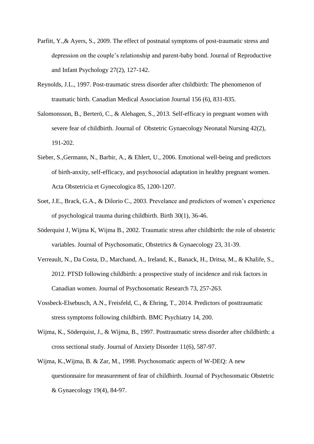- Parfitt, Y., & Ayers, S., 2009. The effect of postnatal symptoms of post-traumatic stress and depression on the couple's relationship and parent-baby bond. Journal of Reproductive and Infant Psychology 27(2), 127-142.
- Reynolds, J.L., 1997. Post-traumatic stress disorder after childbirth: The phenomenon of traumatic birth. Canadian Medical Association Journal 156 (6), 831-835.
- Salomonsson, B., Berterö, C., & Alehagen, S., 2013. Self-efficacy in pregnant women with severe fear of childbirth. Journal of Obstetric Gynaecology Neonatal Nursing 42(2), 191-202.
- Sieber, S.,Germann, N., Barbir, A., & Ehlert, U., 2006. Emotional well-being and predictors of birth-anxity, self-efficacy, and psychosocial adaptation in healthy pregnant women. Acta Obstetricia et Gynecologica 85, 1200-1207.
- Soet, J.E., Brack, G.A., & Dilorio C., 2003. Prevelance and predictors of women's experience of psychological trauma during childbirth. Birth 30(1), 36-46.
- Söderquist J, Wijma K, Wijma B., 2002. Traumatic stress after childbirth: the role of obstetric variables. Journal of Psychosomatic, Obstetrics & Gynaecology 23, 31-39.
- Verreault, N., Da Costa, D., Marchand, A., Ireland, K., Banack, H., Dritsa, M., & Khalife, S., 2012. PTSD following childbirth: a prospective study of incidence and risk factors in Canadian women. Journal of Psychosomatic Research 73, 257-263.
- Vossbeck-Elsebusch, A.N., Freisfeld, C., & Ehring, T., 2014. Predictors of posttraumatic stress symptoms following childbirth. BMC Psychiatry 14, 200.
- [Wijma,](http://www.ncbi.nlm.nih.gov/pubmed?term=Wijma%20K%5BAuthor%5D&cauthor=true&cauthor_uid=9455721) K., [Söderquist, J.](http://www.ncbi.nlm.nih.gov/pubmed?term=S%C3%B6derquist%20J%5BAuthor%5D&cauthor=true&cauthor_uid=9455721), & [Wijma,](http://www.ncbi.nlm.nih.gov/pubmed?term=Wijma%20B%5BAuthor%5D&cauthor=true&cauthor_uid=9455721) B., 1997. Posttraumatic stress disorder after childbirth: a cross sectional study. [Journal of Anxiety Disorder](http://www.ncbi.nlm.nih.gov/pubmed/9455721) 11(6), 587-97.
- Wijma, K.,Wijma, B. & Zar, M., 1998. Psychosomatic aspects of W-DEQ: A new questionnaire for measurement of fear of childbirth. Journal of Psychosomatic Obstetric & Gynaecology 19(4), 84-97.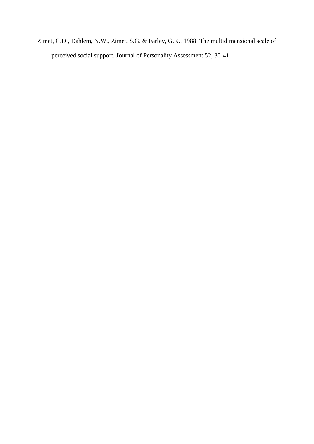Zimet, G.D., Dahlem, N.W., Zimet, S.G. & Farley, G.K., 1988. The multidimensional scale of perceived social support. Journal of Personality Assessment 52, 30-41.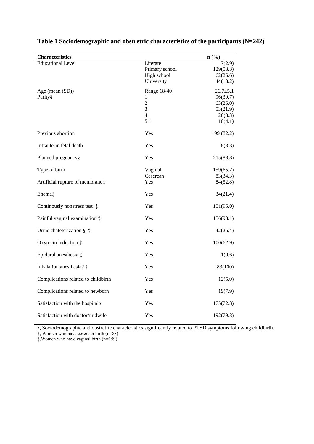| <b>Characteristics</b>                    |                | n(%)           |
|-------------------------------------------|----------------|----------------|
| <b>Educational Level</b>                  | Literate       | 7(2.9)         |
|                                           | Primary school | 129(53.3)      |
|                                           | High school    | 62(25.6)       |
|                                           | University     | 44(18.2)       |
| Age (mean (SD))                           | Range 18-40    | $26.7 \pm 5.1$ |
| Parity§                                   | 1              | 96(39.7)       |
|                                           | $\overline{c}$ | 63(26.0)       |
|                                           | 3              | 53(21.9)       |
|                                           | $\overline{4}$ | 20(8.3)        |
|                                           | $5+$           | 10(4.1)        |
| Previous abortion                         | Yes            | 199 (82.2)     |
| Intrauterin fetal death                   | Yes            | 8(3.3)         |
| Planned pregnancy§                        | Yes            | 215(88.8)      |
| Type of birth                             | Vaginal        | 159(65.7)      |
|                                           | Ceserean       | 83(34.3)       |
| Artificial rupture of membrane $\ddagger$ | Yes            | 84(52.8)       |
| Enema‡                                    | Yes            | 34(21.4)       |
| Continualy nonstress test $\ddagger$      | Yes            | 151(95.0)      |
| Painful vaginal examination $\ddagger$    | Yes            | 156(98.1)      |
| Urine chateterization §, $\ddagger$       | Yes            | 42(26.4)       |
| Oxytocin induction $\ddagger$             | Yes            | 100(62.9)      |
| Epidural anesthesia ‡                     | Yes            | 1(0.6)         |
| Inhalation anesthesia? †                  | Yes            | 83(100)        |
| Complications related to childbirth       | Yes            | 12(5.0)        |
| Complications related to newborn          | Yes            | 19(7.9)        |
| Satisfaction with the hospital§           | Yes            | 175(72.3)      |
| Satisfaction with doctor/midwife          | Yes            | 192(79.3)      |

## **Table 1 Sociodemographic and obstretric characteristics of the participants (N=242)**

§, Sociodemographic and obstretric characteristics significantly related to PTSD symptoms following childbirth. †, Women who have ceserean birth (n=83)

‡,Women who have vaginal birth (n=159)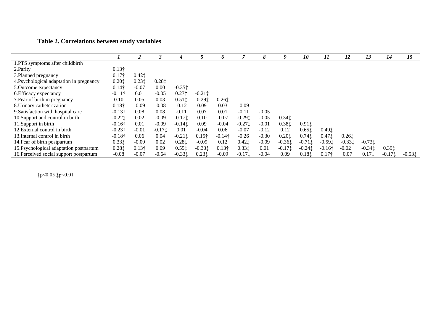## **Table 2. Correlations between study variables**

|                                          |                |               |           |                                        |                                         |                                        |           | 8       | 9                  | 10                                     | 11             | 12       | 13                 | 14       | 15        |
|------------------------------------------|----------------|---------------|-----------|----------------------------------------|-----------------------------------------|----------------------------------------|-----------|---------|--------------------|----------------------------------------|----------------|----------|--------------------|----------|-----------|
|                                          |                |               |           |                                        |                                         | 6                                      |           |         |                    |                                        |                |          |                    |          |           |
| 1.PTS symptoms after childbirth          |                |               |           |                                        |                                         |                                        |           |         |                    |                                        |                |          |                    |          |           |
| 2. Parity                                | $0.13\dagger$  |               |           |                                        |                                         |                                        |           |         |                    |                                        |                |          |                    |          |           |
| 3. Planned pregnancy                     | $0.17\dagger$  | $0.42$ ‡      |           |                                        |                                         |                                        |           |         |                    |                                        |                |          |                    |          |           |
| 4. Psychological adaptation in pregnancy | 0.201          | $0.23$ ‡      | 0.281     |                                        |                                         |                                        |           |         |                    |                                        |                |          |                    |          |           |
| 5. Outcome expectancy                    | $0.14\dagger$  | $-0.07$       | 0.00      | $-0.35$ ‡                              |                                         |                                        |           |         |                    |                                        |                |          |                    |          |           |
| 6. Efficacy expectancy                   | $-0.11\dagger$ | 0.01          | $-0.05$   | $0.27$ ‡                               | $-0.21$ ‡                               |                                        |           |         |                    |                                        |                |          |                    |          |           |
| 7. Fear of birth in pregnancy            | 0.10           | 0.05          | 0.03      | $0.51$ <sup><math>\dagger</math></sup> | $-0.29$ <sup><math>\dagger</math></sup> | $0.26$ <sup><math>\dagger</math></sup> |           |         |                    |                                        |                |          |                    |          |           |
| 8. Urinary catheterization               | $0.18\dagger$  | $-0.09$       | $-0.08$   | $-0.12$                                | 0.09                                    | 0.03                                   | $-0.09$   |         |                    |                                        |                |          |                    |          |           |
| 9. Satisfaction with hospital care       | $-0.13\dagger$ | 0.08          | 0.08      | $-0.11$                                | 0.07                                    | 0.01                                   | $-0.11$   | $-0.05$ |                    |                                        |                |          |                    |          |           |
| 10. Support and control in birth         | $-0.221$       | 0.02          | $-0.09$   | $-0.171$                               | 0.10                                    | $-0.07$                                | $-0.29$ ‡ | $-0.05$ | 0.341              |                                        |                |          |                    |          |           |
| 11. Support in birth                     | $-0.16\dagger$ | 0.01          | $-0.09$   | $-0.141$                               | 0.09                                    | $-0.04$                                | $-0.27$ ‡ | $-0.01$ | 0.381              | $0.91$ <sup><math>\dagger</math></sup> |                |          |                    |          |           |
| 12. External control in birth            | $-0.23\dagger$ | $-0.01$       | $-0.17$ : | 0.01                                   | $-0.04$                                 | 0.06                                   | $-0.07$   | $-0.12$ | 0.12               | $0.65$ ‡                               | 0.491          |          |                    |          |           |
| 13. Internal control in birth            | $-0.18\dagger$ | 0.06          | 0.04      | $-0.211$                               | $0.15\dagger$                           | $-0.14\dagger$                         | $-0.26$   | $-0.30$ | 0.201              | $0.74$ $\dagger$                       | $0.47$ ‡       | $0.26$ ‡ |                    |          |           |
| 14. Fear of birth postpartum             | 0.331          | $-0.09$       | 0.02      | 0.281                                  | $-0.09$                                 | 0.12                                   | $0.42$ ‡  | $-0.09$ | $-0.361$           | $-0.71$ ‡                              | $-0.59$ t      | $-0.331$ | $-0.73$ $\ddagger$ |          |           |
| 15. Psychological adaptation postpartum  | 0.281          | $0.13\dagger$ | 0.09      | $0.55$ <sup><math>\dagger</math></sup> | $-0.331$                                | $0.13\dagger$                          | 0.331     | 0.01    | $-0.17$ $\ddagger$ | $-0.24$ $\dagger$                      | $-0.16\dagger$ | $-0.02$  | $-0.34t$           | 0.391    |           |
| 16. Perceived social support postpartum  | $-0.08$        | $-0.07$       | $-0.64$   | $-0.331$                               | 0.231                                   | $-0.09$                                | $-0.171$  | $-0.04$ | 0.09               | 0.181                                  | $0.17\dagger$  | 0.07     | 0.171              | $-0.171$ | $-0.53$ ‡ |

†p<0.05 ‡p<0.01